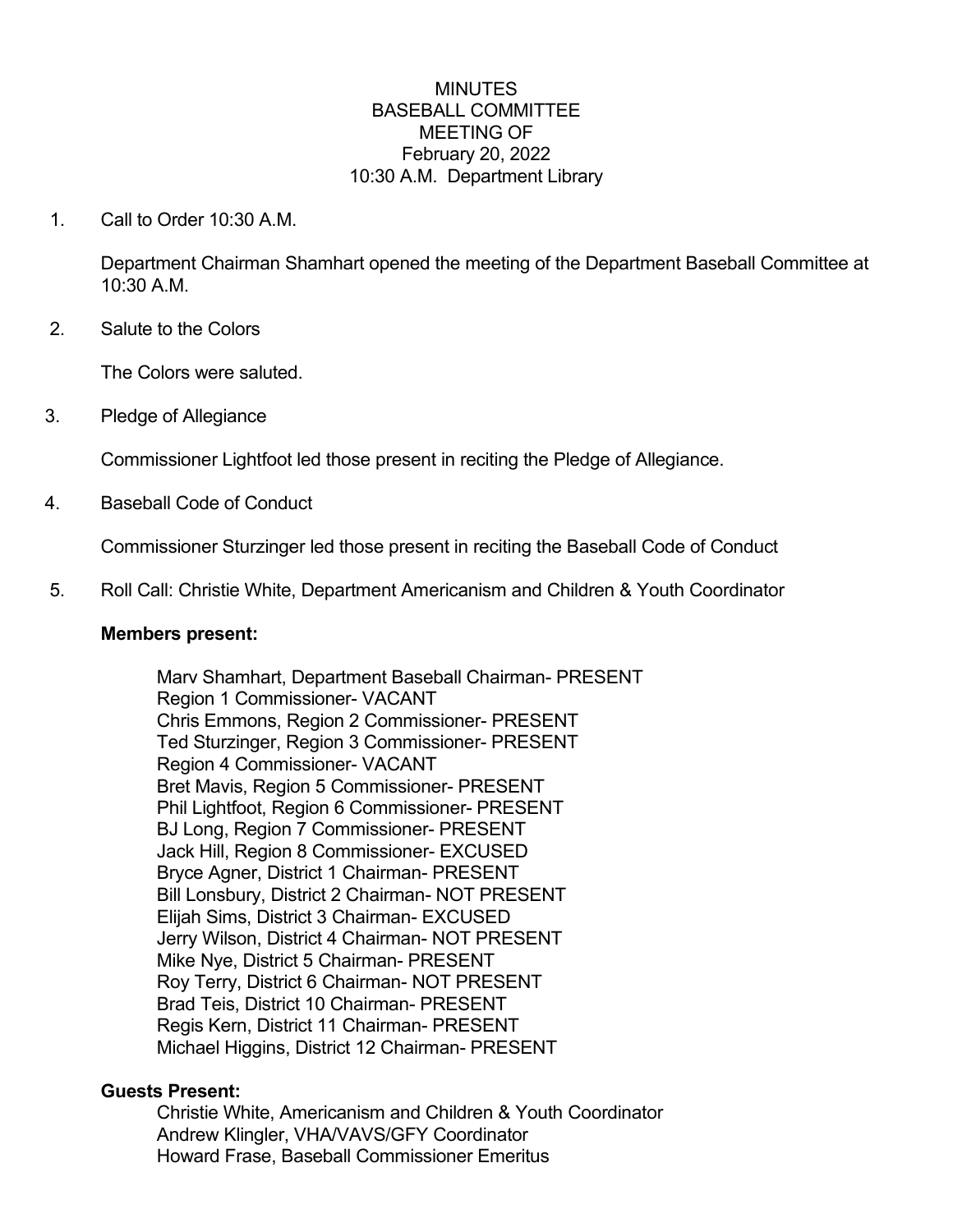### **MINUTES** BASEBALL COMMITTEE MEETING OF February 20, 2022 10:30 A.M. Department Library

1. Call to Order 10:30 A.M.

Department Chairman Shamhart opened the meeting of the Department Baseball Committee at 10:30 A.M.

2. Salute to the Colors

The Colors were saluted.

3. Pledge of Allegiance

Commissioner Lightfoot led those present in reciting the Pledge of Allegiance.

4. Baseball Code of Conduct

Commissioner Sturzinger led those present in reciting the Baseball Code of Conduct

5. Roll Call: Christie White, Department Americanism and Children & Youth Coordinator

#### **Members present:**

Marv Shamhart, Department Baseball Chairman- PRESENT Region 1 Commissioner- VACANT Chris Emmons, Region 2 Commissioner- PRESENT Ted Sturzinger, Region 3 Commissioner- PRESENT Region 4 Commissioner- VACANT Bret Mavis, Region 5 Commissioner- PRESENT Phil Lightfoot, Region 6 Commissioner- PRESENT BJ Long, Region 7 Commissioner- PRESENT Jack Hill, Region 8 Commissioner- EXCUSED Bryce Agner, District 1 Chairman- PRESENT Bill Lonsbury, District 2 Chairman- NOT PRESENT Elijah Sims, District 3 Chairman- EXCUSED Jerry Wilson, District 4 Chairman- NOT PRESENT Mike Nye, District 5 Chairman- PRESENT Roy Terry, District 6 Chairman- NOT PRESENT Brad Teis, District 10 Chairman- PRESENT Regis Kern, District 11 Chairman- PRESENT Michael Higgins, District 12 Chairman- PRESENT

### **Guests Present:**

Christie White, Americanism and Children & Youth Coordinator Andrew Klingler, VHA/VAVS/GFY Coordinator Howard Frase, Baseball Commissioner Emeritus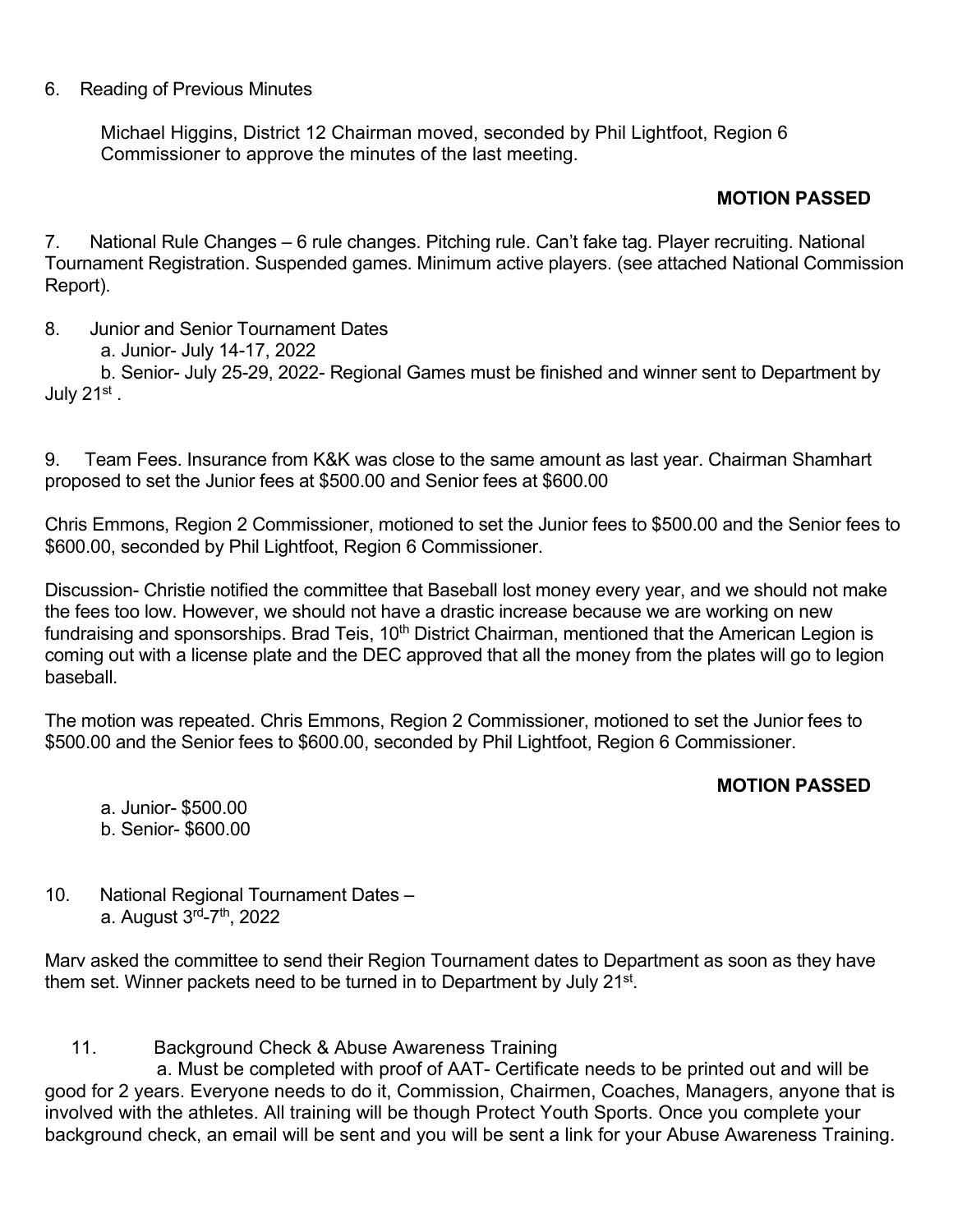## 6. Reading of Previous Minutes

Michael Higgins, District 12 Chairman moved, seconded by Phil Lightfoot, Region 6 Commissioner to approve the minutes of the last meeting.

# **MOTION PASSED**

7. National Rule Changes – 6 rule changes. Pitching rule. Can't fake tag. Player recruiting. National Tournament Registration. Suspended games. Minimum active players. (see attached National Commission Report).

8. Junior and Senior Tournament Dates

a. Junior- July 14-17, 2022

b. Senior- July 25-29, 2022- Regional Games must be finished and winner sent to Department by July 21st.

9. Team Fees. Insurance from K&K was close to the same amount as last year. Chairman Shamhart proposed to set the Junior fees at \$500.00 and Senior fees at \$600.00

Chris Emmons, Region 2 Commissioner, motioned to set the Junior fees to \$500.00 and the Senior fees to \$600.00, seconded by Phil Lightfoot, Region 6 Commissioner.

Discussion- Christie notified the committee that Baseball lost money every year, and we should not make the fees too low. However, we should not have a drastic increase because we are working on new fundraising and sponsorships. Brad Teis, 10<sup>th</sup> District Chairman, mentioned that the American Legion is coming out with a license plate and the DEC approved that all the money from the plates will go to legion baseball.

The motion was repeated. Chris Emmons, Region 2 Commissioner, motioned to set the Junior fees to \$500.00 and the Senior fees to \$600.00, seconded by Phil Lightfoot, Region 6 Commissioner.

# **MOTION PASSED**

a. Junior- \$500.00 b. Senior- \$600.00

10. National Regional Tournament Dates – a. August 3rd-7th, 2022

Marv asked the committee to send their Region Tournament dates to Department as soon as they have them set. Winner packets need to be turned in to Department by July 21<sup>st</sup>.

11. Background Check & Abuse Awareness Training

a. Must be completed with proof of AAT- Certificate needs to be printed out and will be good for 2 years. Everyone needs to do it, Commission, Chairmen, Coaches, Managers, anyone that is involved with the athletes. All training will be though Protect Youth Sports. Once you complete your background check, an email will be sent and you will be sent a link for your Abuse Awareness Training.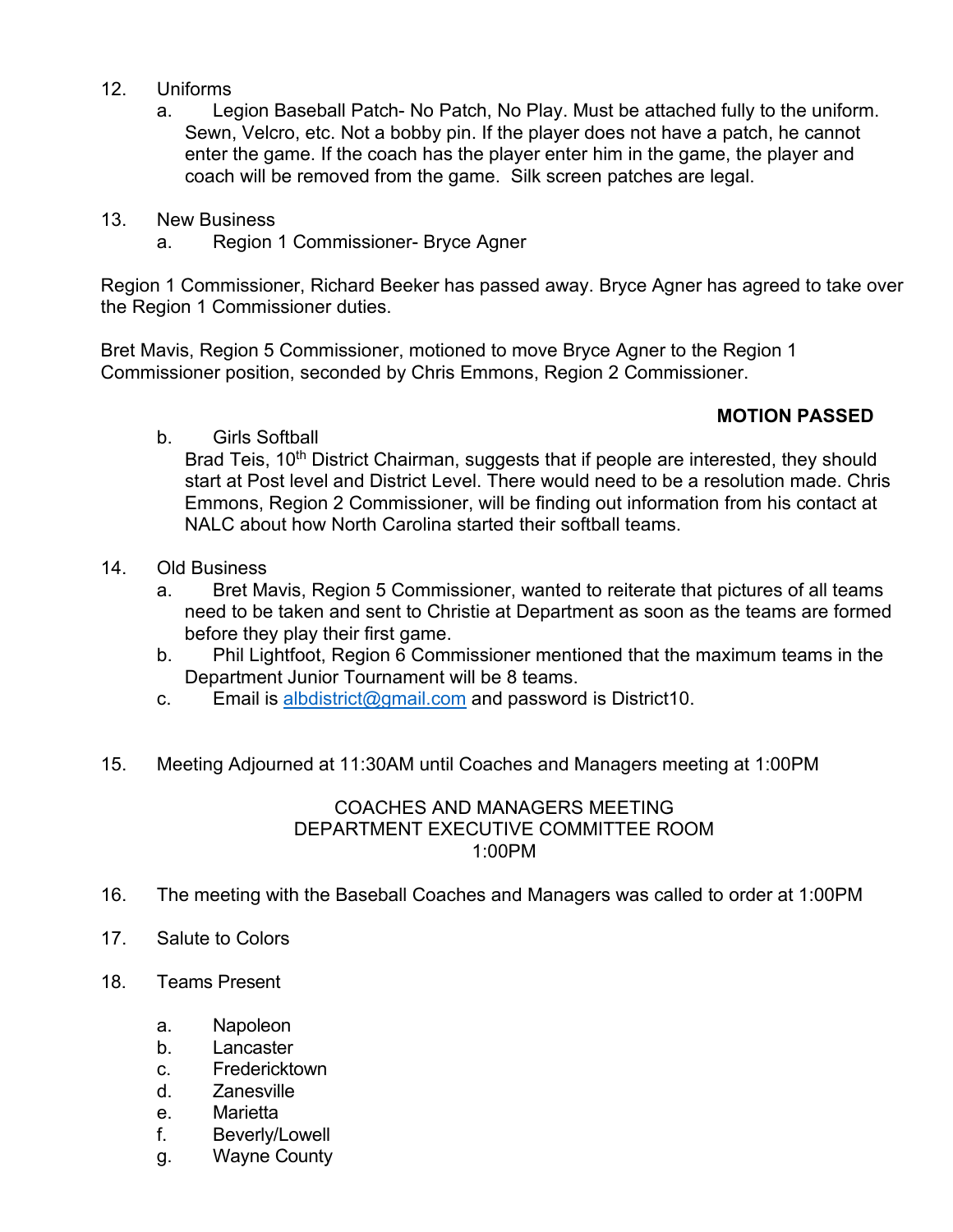## 12. Uniforms

a. Legion Baseball Patch- No Patch, No Play. Must be attached fully to the uniform. Sewn, Velcro, etc. Not a bobby pin. If the player does not have a patch, he cannot enter the game. If the coach has the player enter him in the game, the player and coach will be removed from the game. Silk screen patches are legal.

## 13. New Business

a. Region 1 Commissioner- Bryce Agner

Region 1 Commissioner, Richard Beeker has passed away. Bryce Agner has agreed to take over the Region 1 Commissioner duties.

Bret Mavis, Region 5 Commissioner, motioned to move Bryce Agner to the Region 1 Commissioner position, seconded by Chris Emmons, Region 2 Commissioner.

# **MOTION PASSED**

b. Girls Softball

Brad Teis, 10<sup>th</sup> District Chairman, suggests that if people are interested, they should start at Post level and District Level. There would need to be a resolution made. Chris Emmons, Region 2 Commissioner, will be finding out information from his contact at NALC about how North Carolina started their softball teams.

- 14. Old Business
	- a. Bret Mavis, Region 5 Commissioner, wanted to reiterate that pictures of all teams need to be taken and sent to Christie at Department as soon as the teams are formed before they play their first game.
	- b. Phil Lightfoot, Region 6 Commissioner mentioned that the maximum teams in the Department Junior Tournament will be 8 teams.
	- c. Email is [albdistrict@gmail.com](mailto:albdistrict@gmail.com) and password is District10.
- 15. Meeting Adjourned at 11:30AM until Coaches and Managers meeting at 1:00PM

#### COACHES AND MANAGERS MEETING DEPARTMENT EXECUTIVE COMMITTEE ROOM 1:00PM

- 16. The meeting with the Baseball Coaches and Managers was called to order at 1:00PM
- 17. Salute to Colors
- 18. Teams Present
	- a. Napoleon
	- b. Lancaster
	- c. Fredericktown
	- d. Zanesville
	- e. Marietta
	- f. Beverly/Lowell
	- g. Wayne County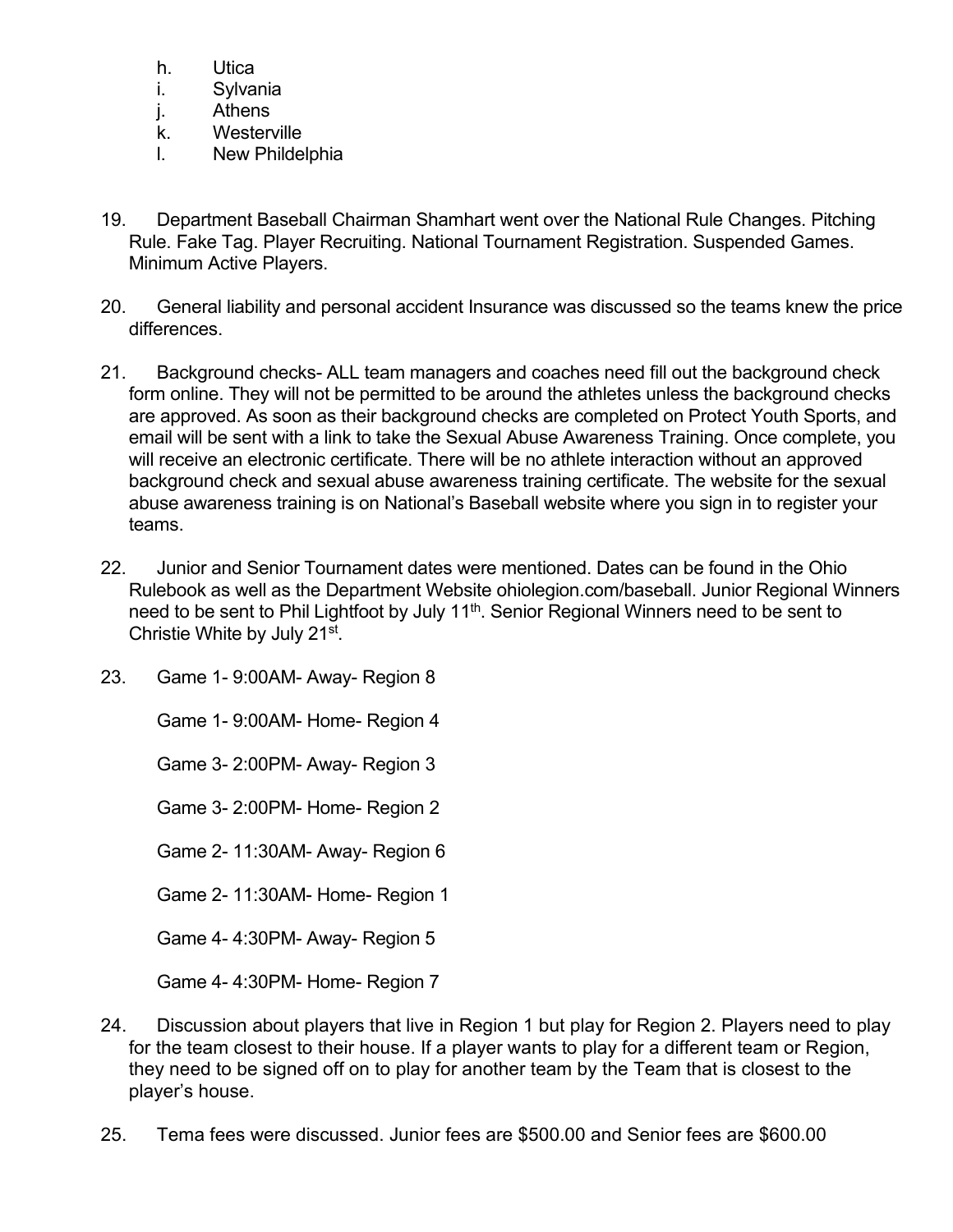- h. Utica
- i. Sylvania
- j. Athens
- k. Westerville
- l. New Phildelphia
- 19. Department Baseball Chairman Shamhart went over the National Rule Changes. Pitching Rule. Fake Tag. Player Recruiting. National Tournament Registration. Suspended Games. Minimum Active Players.
- 20. General liability and personal accident Insurance was discussed so the teams knew the price differences.
- 21. Background checks- ALL team managers and coaches need fill out the background check form online. They will not be permitted to be around the athletes unless the background checks are approved. As soon as their background checks are completed on Protect Youth Sports, and email will be sent with a link to take the Sexual Abuse Awareness Training. Once complete, you will receive an electronic certificate. There will be no athlete interaction without an approved background check and sexual abuse awareness training certificate. The website for the sexual abuse awareness training is on National's Baseball website where you sign in to register your teams.
- 22. Junior and Senior Tournament dates were mentioned. Dates can be found in the Ohio Rulebook as well as the Department Website ohiolegion.com/baseball. Junior Regional Winners need to be sent to Phil Lightfoot by July 11<sup>th</sup>. Senior Regional Winners need to be sent to Christie White by July 21st.
- 23. Game 1- 9:00AM- Away- Region 8

Game 1- 9:00AM- Home- Region 4

Game 3- 2:00PM- Away- Region 3

Game 3- 2:00PM- Home- Region 2

Game 2- 11:30AM- Away- Region 6

Game 2- 11:30AM- Home- Region 1

Game 4- 4:30PM- Away- Region 5

Game 4- 4:30PM- Home- Region 7

- 24. Discussion about players that live in Region 1 but play for Region 2. Players need to play for the team closest to their house. If a player wants to play for a different team or Region, they need to be signed off on to play for another team by the Team that is closest to the player's house.
- 25. Tema fees were discussed. Junior fees are \$500.00 and Senior fees are \$600.00